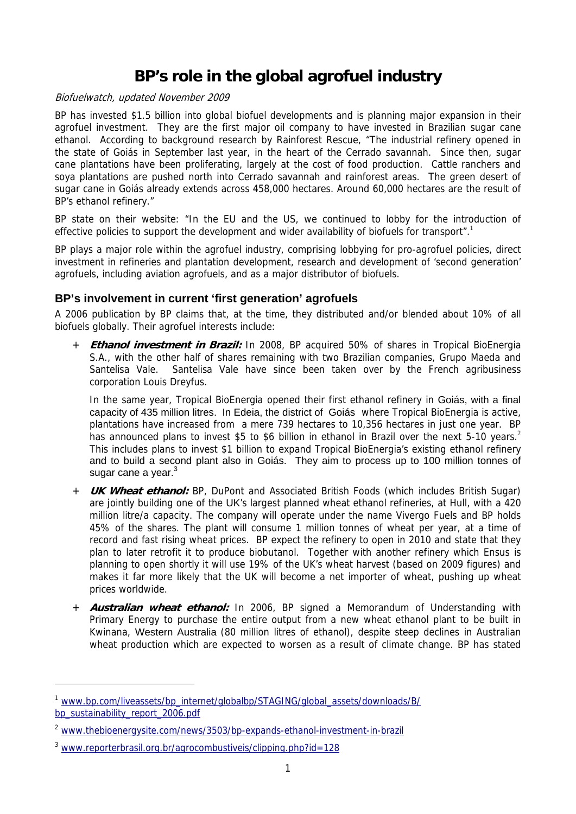# **BP's role in the global agrofuel industry**

#### Biofuelwatch, updated November 2009

BP has invested \$1.5 billion into global biofuel developments and is planning major expansion in their agrofuel investment. They are the first major oil company to have invested in Brazilian sugar cane ethanol. According to background research by Rainforest Rescue, "The industrial refinery opened in the state of Goiás in September last year, in the heart of the Cerrado savannah. Since then, sugar cane plantations have been proliferating, largely at the cost of food production. Cattle ranchers and soya plantations are pushed north into Cerrado savannah and rainforest areas. The green desert of sugar cane in Goiás already extends across 458,000 hectares. Around 60,000 hectares are the result of BP's ethanol refinery."

BP state on their website: "In the EU and the US, we continued to lobby for the introduction of effective policies to support the development and wider availability of biofuels for transport".<sup>1</sup>

BP plays a major role within the agrofuel industry, comprising lobbying for pro-agrofuel policies, direct investment in refineries and plantation development, research and development of 'second generation' agrofuels, including aviation agrofuels, and as a major distributor of biofuels.

### **BP's involvement in current 'first generation' agrofuels**

A 2006 publication by BP claims that, at the time, they distributed and/or blended about 10% of all biofuels globally. Their agrofuel interests include:

**Ethanol investment in Brazil:** In 2008, BP acquired 50% of shares in Tropical BioEnergia S.A., with the other half of shares remaining with two Brazilian companies, Grupo Maeda and Santelisa Vale. Santelisa Vale have since been taken over by the French agribusiness corporation Louis Dreyfus.

In the same year, Tropical BioEnergia opened their first ethanol refinery in Goiás, with a final capacity of 435 million litres. In Edeia, the district of Goiás where Tropical BioEnergia is active, plantations have increased from a mere 739 hectares to 10,356 hectares in just one year. BP has announced plans to invest \$5 to \$6 billion in ethanol in Brazil over the next 5-10 years.<sup>2</sup> This includes plans to invest \$1 billion to expand Tropical BioEnergia's existing ethanol refinery and to build a second plant also in Goiás. They aim to process up to 100 million tonnes of sugar cane a year.<sup>3</sup>

- + **UK Wheat ethanol:** BP, DuPont and Associated British Foods (which includes British Sugar) are jointly building one of the UK's largest planned wheat ethanol refineries, at Hull, with a 420 million litre/a capacity. The company will operate under the name Vivergo Fuels and BP holds 45% of the shares. The plant will consume 1 million tonnes of wheat per year, at a time of record and fast rising wheat prices. BP expect the refinery to open in 2010 and state that they plan to later retrofit it to produce biobutanol. Together with another refinery which Ensus is planning to open shortly it will use 19% of the UK's wheat harvest (based on 2009 figures) and makes it far more likely that the UK will become a net importer of wheat, pushing up wheat prices worldwide.
- + **Australian wheat ethanol:** In 2006, BP signed a Memorandum of Understanding with Primary Energy to purchase the entire output from a new wheat ethanol plant to be built in Kwinana, Western Australia (80 million litres of ethanol), despite steep declines in Australian wheat production which are expected to worsen as a result of climate change. BP has stated

<sup>&</sup>lt;sup>1</sup> www.bp.com/liveassets/bp\_internet/globalbp/STAGING/global\_assets/downloads/B/ bp\_sustainability\_report\_2006.pdf

<sup>&</sup>lt;sup>2</sup> www.thebioenergysite.com/news/3503/bp-expands-ethanol-investment-in-brazil

<sup>3</sup> www.reporterbrasil.org.br/agrocombustiveis/clipping.php?id=128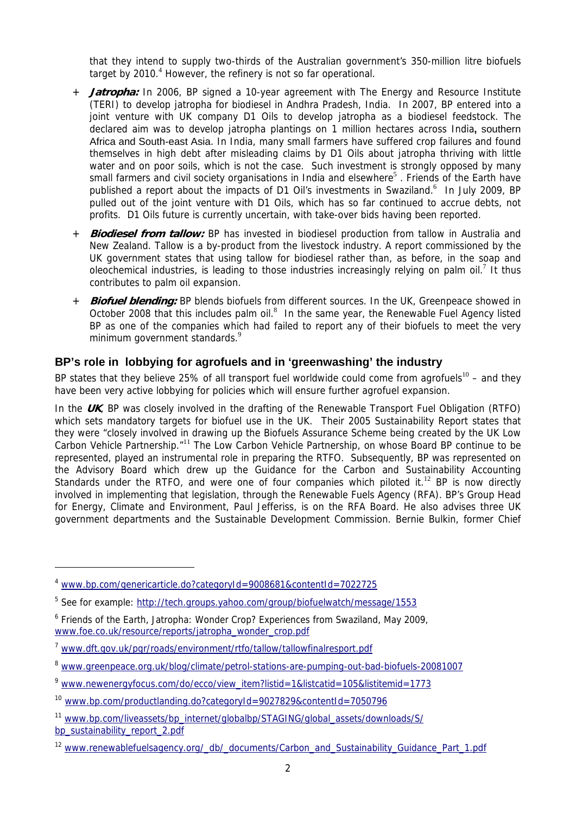that they intend to supply two-thirds of the Australian government's 350-million litre biofuels target by 2010.<sup>4</sup> However, the refinery is not so far operational.

- + **Jatropha:** In 2006, BP signed a 10-year agreement with The Energy and Resource Institute (TERI) to develop jatropha for biodiesel in Andhra Pradesh, India. In 2007, BP entered into a ioint venture with UK company D1 Oils to develop jatropha as a biodiesel feedstock. The declared aim was to develop jatropha plantings on 1 million hectares across India**,** southern Africa and South-east Asia. In India, many small farmers have suffered crop failures and found themselves in high debt after misleading claims by D1 Oils about jatropha thriving with little water and on poor soils, which is not the case. Such investment is strongly opposed by many small farmers and civil society organisations in India and elsewhere<sup>5</sup>. Friends of the Earth have published a report about the impacts of D1 Oil's investments in Swaziland.<sup>6</sup> In July 2009, BP pulled out of the joint venture with D1 Oils, which has so far continued to accrue debts, not profits. D1 Oils future is currently uncertain, with take-over bids having been reported.
- + **Biodiesel from tallow:** BP has invested in biodiesel production from tallow in Australia and New Zealand. Tallow is a by-product from the livestock industry. A report commissioned by the UK government states that using tallow for biodiesel rather than, as before, in the soap and oleochemical industries, is leading to those industries increasingly relying on palm oil.<sup>7</sup> It thus contributes to palm oil expansion.
- + **Biofuel blending:** BP blends biofuels from different sources. In the UK, Greenpeace showed in October 2008 that this includes palm oil. $^8$  In the same year, the Renewable Fuel Agency listed BP as one of the companies which had failed to report any of their biofuels to meet the very minimum government standards.<sup>9</sup>

# **BP's role in lobbying for agrofuels and in 'greenwashing' the industry**

BP states that they believe 25% of all transport fuel worldwide could come from agrofuels<sup>10</sup> – and they have been very active lobbying for policies which will ensure further agrofuel expansion.

In the **UK**, BP was closely involved in the drafting of the Renewable Transport Fuel Obligation (RTFO) which sets mandatory targets for biofuel use in the UK. Their 2005 Sustainability Report states that they were "closely involved in drawing up the Biofuels Assurance Scheme being created by the UK Low Carbon Vehicle Partnership."<sup>11</sup> The Low Carbon Vehicle Partnership, on whose Board BP continue to be represented, played an instrumental role in preparing the RTFO. Subsequently, BP was represented on the Advisory Board which drew up the Guidance for the Carbon and Sustainability Accounting Standards under the RTFO, and were one of four companies which piloted it.<sup>12</sup> BP is now directly involved in implementing that legislation, through the Renewable Fuels Agency (RFA). BP's Group Head for Energy, Climate and Environment, Paul Jefferiss, is on the RFA Board. He also advises three UK government departments and the Sustainable Development Commission. Bernie Bulkin, former Chief

<sup>4</sup> www.bp.com/genericarticle.do?categoryId=9008681&contentId=7022725

<sup>&</sup>lt;sup>5</sup> See for example: http://tech.groups.yahoo.com/group/biofuelwatch/message/1553

<sup>&</sup>lt;sup>6</sup> Friends of the Earth, Jatropha: Wonder Crop? Experiences from Swaziland, May 2009, www.foe.co.uk/resource/reports/jatropha\_wonder\_crop.pdf

<sup>7</sup> www.dft.gov.uk/pgr/roads/environment/rtfo/tallow/tallowfinalresport.pdf

<sup>8</sup> www.greenpeace.org.uk/blog/climate/petrol-stations-are-pumping-out-bad-biofuels-20081007

<sup>9</sup> www.newenergyfocus.com/do/ecco/view\_item?listid=1&listcatid=105&listitemid=1773

<sup>10</sup> www.bp.com/productlanding.do?categoryId=9027829&contentId=7050796

<sup>&</sup>lt;sup>11</sup> www.bp.com/liveassets/bp\_internet/globalbp/STAGING/global\_assets/downloads/S/ bp\_sustainability\_report\_2.pdf

<sup>&</sup>lt;sup>12</sup> www.renewablefuelsagency.org/\_db/\_documents/Carbon\_and\_Sustainability\_Guidance\_Part\_1.pdf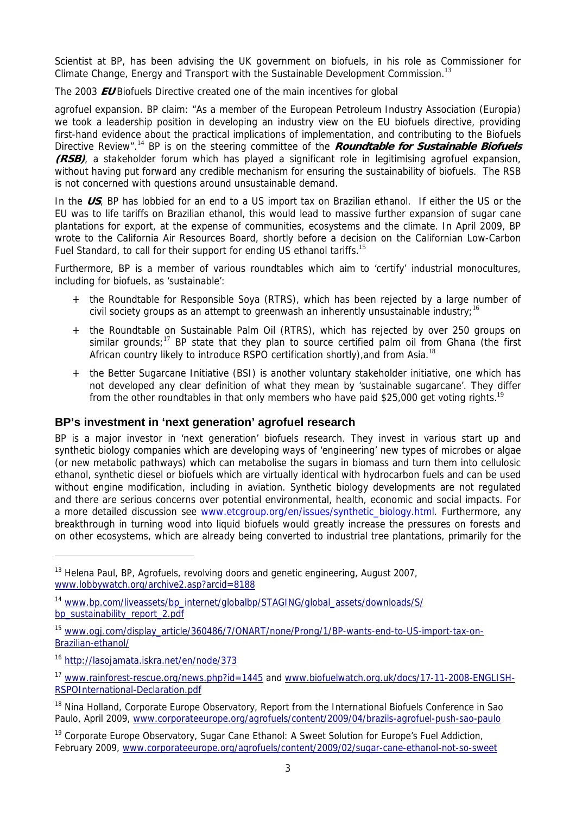Scientist at BP, has been advising the UK government on biofuels, in his role as Commissioner for Climate Change, Energy and Transport with the Sustainable Development Commission.<sup>13</sup>

The 2003 **EU** Biofuels Directive created one of the main incentives for global

agrofuel expansion. BP claim: "As a member of the European Petroleum Industry Association (Europia) we took a leadership position in developing an industry view on the EU biofuels directive, providing first-hand evidence about the practical implications of implementation, and contributing to the Biofuels Directive Review".<sup>14</sup> BP is on the steering committee of the **Roundtable for Sustainable Biofuels (RSB)**, a stakeholder forum which has played a significant role in legitimising agrofuel expansion, without having put forward any credible mechanism for ensuring the sustainability of biofuels. The RSB is not concerned with questions around unsustainable demand.

In the **US**, BP has lobbied for an end to a US import tax on Brazilian ethanol. If either the US or the EU was to life tariffs on Brazilian ethanol, this would lead to massive further expansion of sugar cane plantations for export, at the expense of communities, ecosystems and the climate. In April 2009, BP wrote to the California Air Resources Board, shortly before a decision on the Californian Low-Carbon Fuel Standard, to call for their support for ending US ethanol tariffs.<sup>15</sup>

Furthermore, BP is a member of various roundtables which aim to 'certify' industrial monocultures, including for biofuels, as 'sustainable':

- + the Roundtable for Responsible Soya (RTRS), which has been rejected by a large number of civil society groups as an attempt to greenwash an inherently unsustainable industry;<sup>16</sup>
- + the Roundtable on Sustainable Palm Oil (RTRS), which has rejected by over 250 groups on similar grounds;<sup>17</sup> BP state that they plan to source certified palm oil from Ghana (the first African country likely to introduce RSPO certification shortly), and from Asia.<sup>18</sup>
- + the Better Sugarcane Initiative (BSI) is another voluntary stakeholder initiative, one which has not developed any clear definition of what they mean by 'sustainable sugarcane'. They differ from the other roundtables in that only members who have paid \$25,000 get voting rights.<sup>19</sup>

# **BP's investment in 'next generation' agrofuel research**

BP is a major investor in 'next generation' biofuels research. They invest in various start up and synthetic biology companies which are developing ways of 'engineering' new types of microbes or algae (or new metabolic pathways) which can metabolise the sugars in biomass and turn them into cellulosic ethanol, synthetic diesel or biofuels which are virtually identical with hydrocarbon fuels and can be used without engine modification, including in aviation. Synthetic biology developments are not regulated and there are serious concerns over potential environmental, health, economic and social impacts. For a more detailed discussion see www.etcgroup.org/en/issues/synthetic\_biology.html. Furthermore, any breakthrough in turning wood into liquid biofuels would greatly increase the pressures on forests and on other ecosystems, which are already being converted to industrial tree plantations, primarily for the

<sup>&</sup>lt;sup>13</sup> Helena Paul, BP, Agrofuels, revolving doors and genetic engineering, August 2007, www.lobbywatch.org/archive2.asp?arcid=8188

<sup>14</sup> www.bp.com/liveassets/bp\_internet/globalbp/STAGING/global\_assets/downloads/S/ bp\_sustainability\_report\_2.pdf

<sup>15</sup> www.ogj.com/display\_article/360486/7/ONART/none/Prong/1/BP-wants-end-to-US-import-tax-on-Brazilian-ethanol/

<sup>16</sup> http://lasojamata.iskra.net/en/node/373

<sup>17</sup> www.rainforest-rescue.org/news.php?id=1445 and www.biofuelwatch.org.uk/docs/17-11-2008-ENGLISH-RSPOInternational-Declaration.pdf

<sup>&</sup>lt;sup>18</sup> Nina Holland, Corporate Europe Observatory, Report from the International Biofuels Conference in Sao Paulo, April 2009, www.corporateeurope.org/agrofuels/content/2009/04/brazils-agrofuel-push-sao-paulo

<sup>&</sup>lt;sup>19</sup> Corporate Europe Observatory, Sugar Cane Ethanol: A Sweet Solution for Europe's Fuel Addiction, February 2009, www.corporateeurope.org/agrofuels/content/2009/02/sugar-cane-ethanol-not-so-sweet